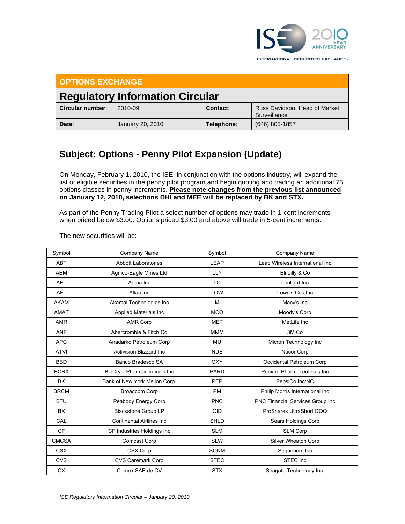

INTERNATIONAL SECURITIES EXCHANGE.

| <b>OPTIONS EXCHANGE</b>                |                  |            |                                               |  |  |  |
|----------------------------------------|------------------|------------|-----------------------------------------------|--|--|--|
| <b>Regulatory Information Circular</b> |                  |            |                                               |  |  |  |
| Circular number:                       | 2010-09          | Contact:   | Russ Davidson, Head of Market<br>Surveillance |  |  |  |
| Date:                                  | January 20, 2010 | Telephone: | (646) 805-1857                                |  |  |  |

## **Subject: Options - Penny Pilot Expansion (Update)**

On Monday, February 1, 2010, the ISE, in conjunction with the options industry, will expand the list of eligible securities in the penny pilot program and begin quoting and trading an additional 75 options classes in penny increments. **Please note changes from the previous list announced on January 12, 2010, selections DHI and MEE will be replaced by BK and STX.**

As part of the Penny Trading Pilot a select number of options may trade in 1-cent increments when priced below \$3.00. Options priced \$3.00 and above will trade in 5-cent increments.

| Symbol       | Company Name                        | Symbol      | Company Name                        |
|--------------|-------------------------------------|-------------|-------------------------------------|
| <b>ABT</b>   | <b>Abbott Laboratories</b>          | LEAP        | Leap Wireless International Inc     |
| <b>AEM</b>   | Agnico-Eagle Mines Ltd              | <b>LLY</b>  | Eli Lilly & Co                      |
| <b>AET</b>   | Aetna Inc                           | LO          | Lorillard Inc                       |
| <b>AFL</b>   | Aflac Inc                           | LOW         | Lowe's Cos Inc                      |
| <b>AKAM</b>  | Akamai Technologies Inc             | M           | Macy's Inc                          |
| <b>AMAT</b>  | <b>Applied Materials Inc</b>        | <b>MCO</b>  | Moody's Corp                        |
| AMR          | <b>AMR Corp</b>                     | <b>MET</b>  | MetLife Inc                         |
| <b>ANF</b>   | Abercrombie & Fitch Co              | <b>MMM</b>  | 3M Co                               |
| <b>APC</b>   | Anadarko Petroleum Corp             | <b>MU</b>   | Micron Technology Inc               |
| <b>ATVI</b>  | <b>Activision Blizzard Inc.</b>     | <b>NUE</b>  | Nucor Corp                          |
| <b>BBD</b>   | Banco Bradesco SA                   | <b>OXY</b>  | Occidental Petroleum Corp           |
| <b>BCRX</b>  | <b>BioCryst Pharmaceuticals Inc</b> | <b>PARD</b> | <b>Poniard Pharmaceuticals Inc.</b> |
| <b>BK</b>    | Bank of New York Mellon Corp.       | PEP         | PepsiCo Inc/NC                      |
| <b>BRCM</b>  | <b>Broadcom Corp</b>                | <b>PM</b>   | Philip Morris International Inc     |
| <b>BTU</b>   | Peabody Energy Corp                 | <b>PNC</b>  | PNC Financial Services Group Inc    |
| <b>BX</b>    | <b>Blackstone Group LP</b>          | QID         | ProShares UltraShort QQQ            |
| CAL          | <b>Continental Airlines Inc.</b>    | <b>SHLD</b> | Sears Holdings Corp                 |
| <b>CF</b>    | CF Industries Holdings Inc          | <b>SLM</b>  | <b>SLM Corp</b>                     |
| <b>CMCSA</b> | <b>Comcast Corp</b>                 | <b>SLW</b>  | Silver Wheaton Corp                 |
| <b>CSX</b>   | CSX Corp                            | SQNM        | Sequenom Inc                        |
| <b>CVS</b>   | CVS Caremark Corp                   | <b>STEC</b> | STEC Inc                            |
| <b>CX</b>    | Cemex SAB de CV                     | <b>STX</b>  | Seagate Technology Inc.             |

The new securities will be: